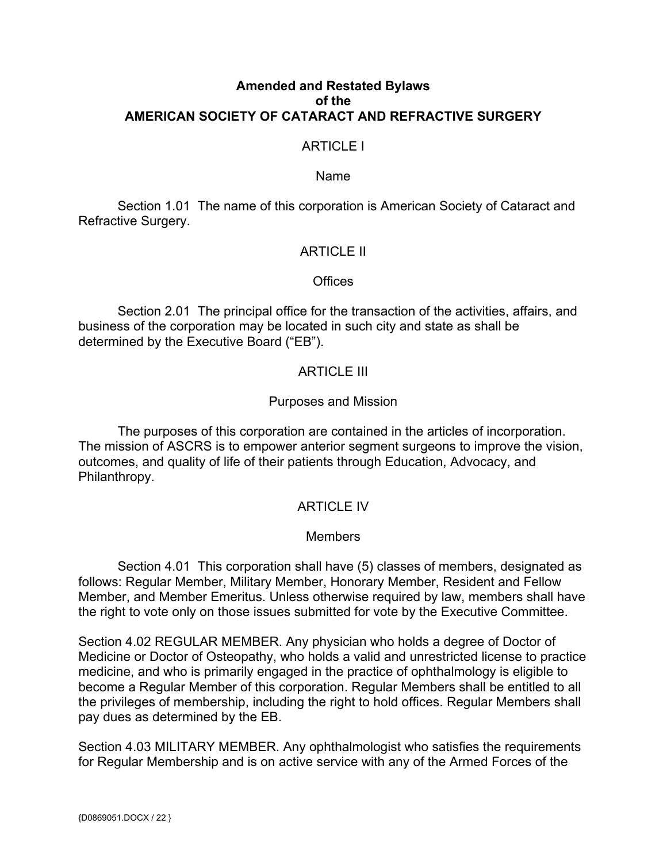## **Amended and Restated Bylaws of the AMERICAN SOCIETY OF CATARACT AND REFRACTIVE SURGERY**

## ARTICLE I

#### Name

Section 1.01 The name of this corporation is American Society of Cataract and Refractive Surgery.

### ARTICLE II

#### **Offices**

Section 2.01 The principal office for the transaction of the activities, affairs, and business of the corporation may be located in such city and state as shall be determined by the Executive Board ("EB").

## ARTICLE III

### Purposes and Mission

The purposes of this corporation are contained in the articles of incorporation. The mission of ASCRS is to empower anterior segment surgeons to improve the vision, outcomes, and quality of life of their patients through Education, Advocacy, and Philanthropy.

### ARTICLE IV

### **Members**

Section 4.01 This corporation shall have (5) classes of members, designated as follows: Regular Member, Military Member, Honorary Member, Resident and Fellow Member, and Member Emeritus. Unless otherwise required by law, members shall have the right to vote only on those issues submitted for vote by the Executive Committee.

Section 4.02 REGULAR MEMBER. Any physician who holds a degree of Doctor of Medicine or Doctor of Osteopathy, who holds a valid and unrestricted license to practice medicine, and who is primarily engaged in the practice of ophthalmology is eligible to become a Regular Member of this corporation. Regular Members shall be entitled to all the privileges of membership, including the right to hold offices. Regular Members shall pay dues as determined by the EB.

Section 4.03 MILITARY MEMBER. Any ophthalmologist who satisfies the requirements for Regular Membership and is on active service with any of the Armed Forces of the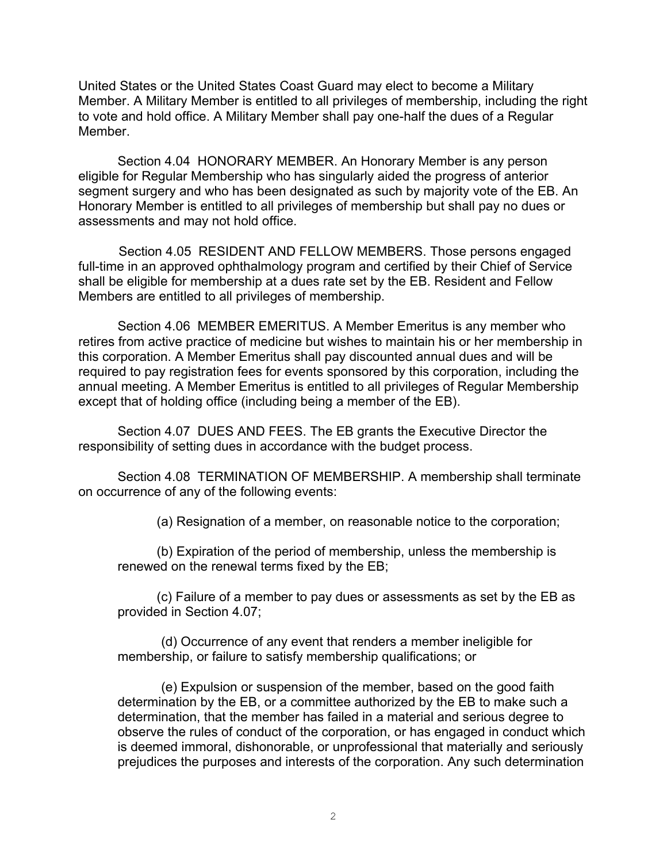United States or the United States Coast Guard may elect to become a Military Member. A Military Member is entitled to all privileges of membership, including the right to vote and hold office. A Military Member shall pay one-half the dues of a Regular Member.

Section 4.04 HONORARY MEMBER. An Honorary Member is any person eligible for Regular Membership who has singularly aided the progress of anterior segment surgery and who has been designated as such by majority vote of the EB. An Honorary Member is entitled to all privileges of membership but shall pay no dues or assessments and may not hold office.

 Section 4.05 RESIDENT AND FELLOW MEMBERS. Those persons engaged full-time in an approved ophthalmology program and certified by their Chief of Service shall be eligible for membership at a dues rate set by the EB. Resident and Fellow Members are entitled to all privileges of membership.

Section 4.06 MEMBER EMERITUS. A Member Emeritus is any member who retires from active practice of medicine but wishes to maintain his or her membership in this corporation. A Member Emeritus shall pay discounted annual dues and will be required to pay registration fees for events sponsored by this corporation, including the annual meeting. A Member Emeritus is entitled to all privileges of Regular Membership except that of holding office (including being a member of the EB).

Section 4.07 DUES AND FEES. The EB grants the Executive Director the responsibility of setting dues in accordance with the budget process.

Section 4.08 TERMINATION OF MEMBERSHIP. A membership shall terminate on occurrence of any of the following events:

(a) Resignation of a member, on reasonable notice to the corporation;

(b) Expiration of the period of membership, unless the membership is renewed on the renewal terms fixed by the EB;

(c) Failure of a member to pay dues or assessments as set by the EB as provided in Section 4.07;

(d) Occurrence of any event that renders a member ineligible for membership, or failure to satisfy membership qualifications; or

(e) Expulsion or suspension of the member, based on the good faith determination by the EB, or a committee authorized by the EB to make such a determination, that the member has failed in a material and serious degree to observe the rules of conduct of the corporation, or has engaged in conduct which is deemed immoral, dishonorable, or unprofessional that materially and seriously prejudices the purposes and interests of the corporation. Any such determination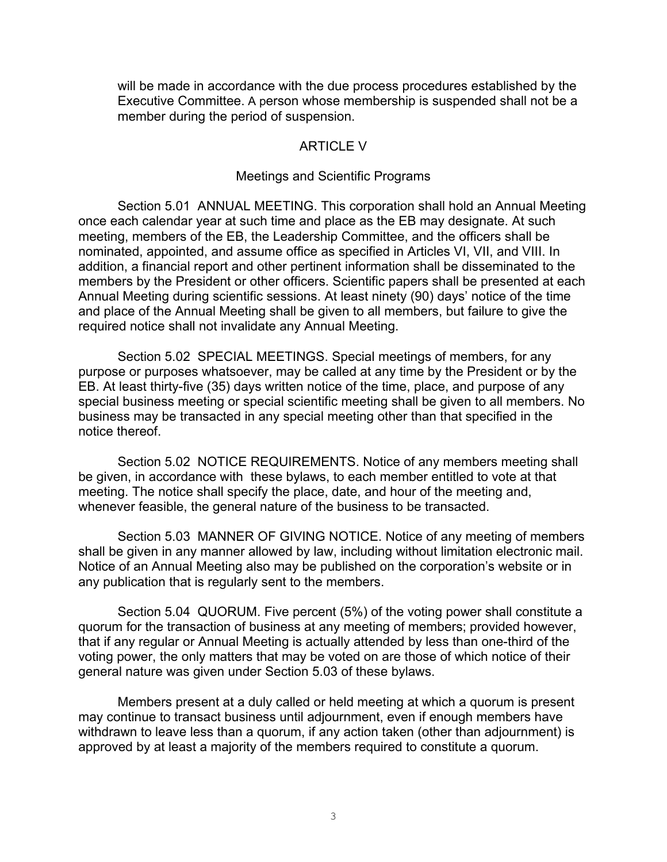will be made in accordance with the due process procedures established by the Executive Committee. A person whose membership is suspended shall not be a member during the period of suspension.

### ARTICLE V

#### Meetings and Scientific Programs

Section 5.01 ANNUAL MEETING. This corporation shall hold an Annual Meeting once each calendar year at such time and place as the EB may designate. At such meeting, members of the EB, the Leadership Committee, and the officers shall be nominated, appointed, and assume office as specified in Articles VI, VII, and VIII. In addition, a financial report and other pertinent information shall be disseminated to the members by the President or other officers. Scientific papers shall be presented at each Annual Meeting during scientific sessions. At least ninety (90) days' notice of the time and place of the Annual Meeting shall be given to all members, but failure to give the required notice shall not invalidate any Annual Meeting.

Section 5.02 SPECIAL MEETINGS. Special meetings of members, for any purpose or purposes whatsoever, may be called at any time by the President or by the EB. At least thirty-five (35) days written notice of the time, place, and purpose of any special business meeting or special scientific meeting shall be given to all members. No business may be transacted in any special meeting other than that specified in the notice thereof.

Section 5.02 NOTICE REQUIREMENTS. Notice of any members meeting shall be given, in accordance with these bylaws, to each member entitled to vote at that meeting. The notice shall specify the place, date, and hour of the meeting and, whenever feasible, the general nature of the business to be transacted.

Section 5.03 MANNER OF GIVING NOTICE. Notice of any meeting of members shall be given in any manner allowed by law, including without limitation electronic mail. Notice of an Annual Meeting also may be published on the corporation's website or in any publication that is regularly sent to the members.

Section 5.04 QUORUM. Five percent (5%) of the voting power shall constitute a quorum for the transaction of business at any meeting of members; provided however, that if any regular or Annual Meeting is actually attended by less than one-third of the voting power, the only matters that may be voted on are those of which notice of their general nature was given under Section 5.03 of these bylaws.

Members present at a duly called or held meeting at which a quorum is present may continue to transact business until adjournment, even if enough members have withdrawn to leave less than a quorum, if any action taken (other than adjournment) is approved by at least a majority of the members required to constitute a quorum.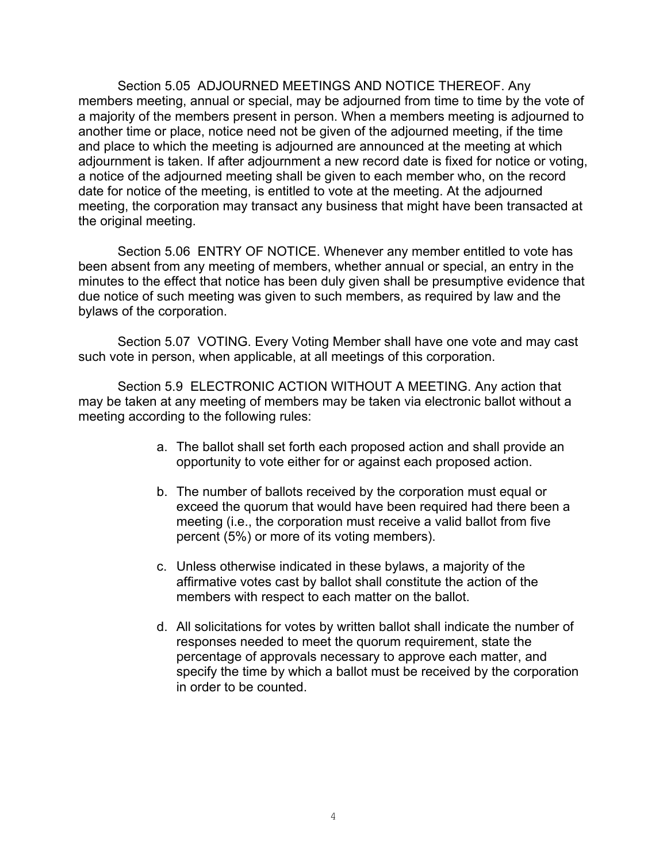Section 5.05 ADJOURNED MEETINGS AND NOTICE THEREOF. Any members meeting, annual or special, may be adjourned from time to time by the vote of a majority of the members present in person. When a members meeting is adjourned to another time or place, notice need not be given of the adjourned meeting, if the time and place to which the meeting is adjourned are announced at the meeting at which adjournment is taken. If after adjournment a new record date is fixed for notice or voting, a notice of the adjourned meeting shall be given to each member who, on the record date for notice of the meeting, is entitled to vote at the meeting. At the adjourned meeting, the corporation may transact any business that might have been transacted at the original meeting.

Section 5.06 ENTRY OF NOTICE. Whenever any member entitled to vote has been absent from any meeting of members, whether annual or special, an entry in the minutes to the effect that notice has been duly given shall be presumptive evidence that due notice of such meeting was given to such members, as required by law and the bylaws of the corporation.

Section 5.07 VOTING. Every Voting Member shall have one vote and may cast such vote in person, when applicable, at all meetings of this corporation.

Section 5.9 ELECTRONIC ACTION WITHOUT A MEETING. Any action that may be taken at any meeting of members may be taken via electronic ballot without a meeting according to the following rules:

- a. The ballot shall set forth each proposed action and shall provide an opportunity to vote either for or against each proposed action.
- b. The number of ballots received by the corporation must equal or exceed the quorum that would have been required had there been a meeting (i.e., the corporation must receive a valid ballot from five percent (5%) or more of its voting members).
- c. Unless otherwise indicated in these bylaws, a majority of the affirmative votes cast by ballot shall constitute the action of the members with respect to each matter on the ballot.
- d. All solicitations for votes by written ballot shall indicate the number of responses needed to meet the quorum requirement, state the percentage of approvals necessary to approve each matter, and specify the time by which a ballot must be received by the corporation in order to be counted.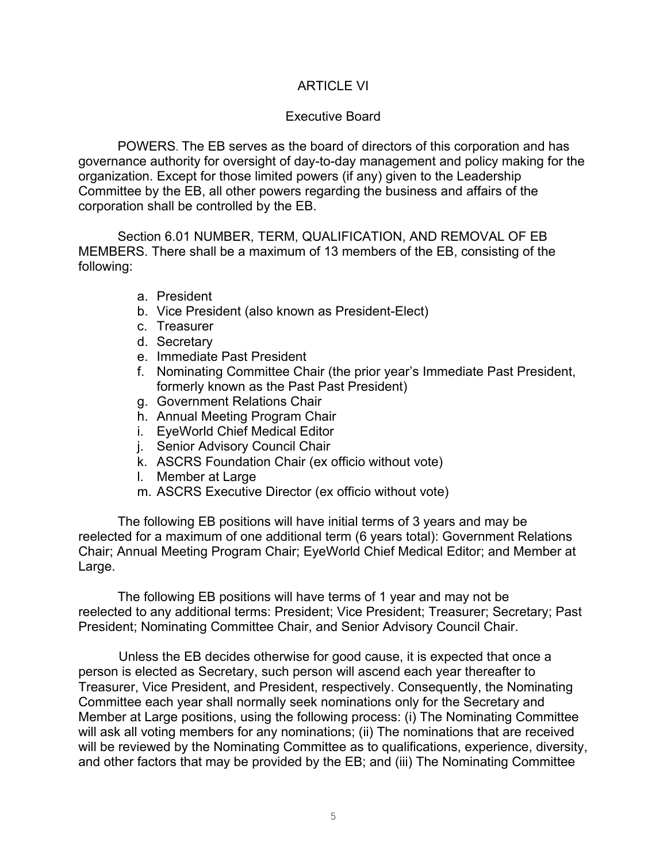# ARTICLE VI

## Executive Board

POWERS. The EB serves as the board of directors of this corporation and has governance authority for oversight of day-to-day management and policy making for the organization. Except for those limited powers (if any) given to the Leadership Committee by the EB, all other powers regarding the business and affairs of the corporation shall be controlled by the EB.

Section 6.01 NUMBER, TERM, QUALIFICATION, AND REMOVAL OF EB MEMBERS. There shall be a maximum of 13 members of the EB, consisting of the following:

- a. President
- b. Vice President (also known as President-Elect)
- c. Treasurer
- d. Secretary
- e. Immediate Past President
- f. Nominating Committee Chair (the prior year's Immediate Past President, formerly known as the Past Past President)
- g. Government Relations Chair
- h. Annual Meeting Program Chair
- i. EyeWorld Chief Medical Editor
- j. Senior Advisory Council Chair
- k. ASCRS Foundation Chair (ex officio without vote)
- l. Member at Large
- m. ASCRS Executive Director (ex officio without vote)

The following EB positions will have initial terms of 3 years and may be reelected for a maximum of one additional term (6 years total): Government Relations Chair; Annual Meeting Program Chair; EyeWorld Chief Medical Editor; and Member at Large.

The following EB positions will have terms of 1 year and may not be reelected to any additional terms: President; Vice President; Treasurer; Secretary; Past President; Nominating Committee Chair, and Senior Advisory Council Chair.

 Unless the EB decides otherwise for good cause, it is expected that once a person is elected as Secretary, such person will ascend each year thereafter to Treasurer, Vice President, and President, respectively. Consequently, the Nominating Committee each year shall normally seek nominations only for the Secretary and Member at Large positions, using the following process: (i) The Nominating Committee will ask all voting members for any nominations; (ii) The nominations that are received will be reviewed by the Nominating Committee as to qualifications, experience, diversity, and other factors that may be provided by the EB; and (iii) The Nominating Committee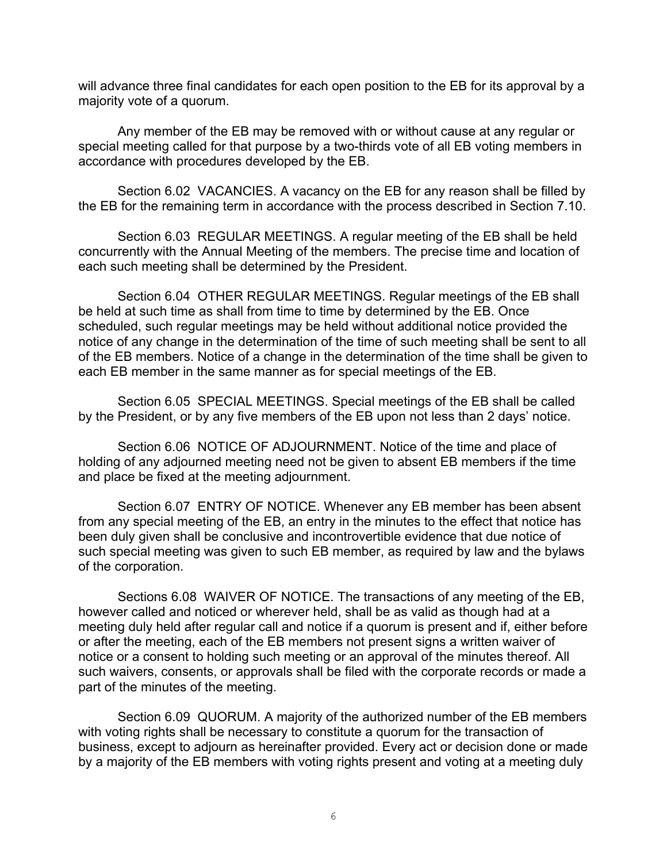will advance three final candidates for each open position to the EB for its approval by a majority vote of a quorum.

Any member of the EB may be removed with or without cause at any regular or special meeting called for that purpose by a two-thirds vote of all EB voting members in accordance with procedures developed by the EB.

Section 6.02 VACANCIES. A vacancy on the EB for any reason shall be filled by the EB for the remaining term in accordance with the process described in Section 7.10.

Section 6.03 REGULAR MEETINGS. A regular meeting of the EB shall be held concurrently with the Annual Meeting of the members. The precise time and location of each such meeting shall be determined by the President.

Section 6.04 OTHER REGULAR MEETINGS. Regular meetings of the EB shall be held at such time as shall from time to time by determined by the EB. Once scheduled, such regular meetings may be held without additional notice provided the notice of any change in the determination of the time of such meeting shall be sent to all of the EB members. Notice of a change in the determination of the time shall be given to each EB member in the same manner as for special meetings of the EB.

Section 6.05 SPECIAL MEETINGS. Special meetings of the EB shall be called by the President, or by any five members of the EB upon not less than 2 days' notice.

Section 6.06 NOTICE OF ADJOURNMENT. Notice of the time and place of holding of any adjourned meeting need not be given to absent EB members if the time and place be fixed at the meeting adjournment.

Section 6.07 ENTRY OF NOTICE. Whenever any EB member has been absent from any special meeting of the EB, an entry in the minutes to the effect that notice has been duly given shall be conclusive and incontrovertible evidence that due notice of such special meeting was given to such EB member, as required by law and the bylaws of the corporation.

Sections 6.08 WAIVER OF NOTICE. The transactions of any meeting of the EB, however called and noticed or wherever held, shall be as valid as though had at a meeting duly held after regular call and notice if a quorum is present and if, either before or after the meeting, each of the EB members not present signs a written waiver of notice or a consent to holding such meeting or an approval of the minutes thereof. All such waivers, consents, or approvals shall be filed with the corporate records or made a part of the minutes of the meeting.

Section 6.09 QUORUM. A majority of the authorized number of the EB members with voting rights shall be necessary to constitute a quorum for the transaction of business, except to adjourn as hereinafter provided. Every act or decision done or made by a majority of the EB members with voting rights present and voting at a meeting duly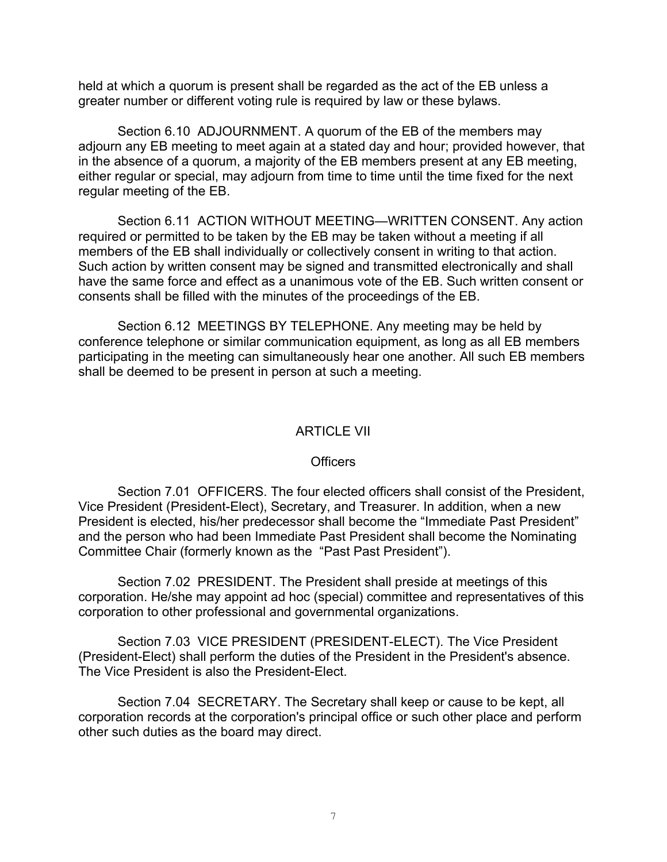held at which a quorum is present shall be regarded as the act of the EB unless a greater number or different voting rule is required by law or these bylaws.

Section 6.10 ADJOURNMENT. A quorum of the EB of the members may adjourn any EB meeting to meet again at a stated day and hour; provided however, that in the absence of a quorum, a majority of the EB members present at any EB meeting, either regular or special, may adjourn from time to time until the time fixed for the next regular meeting of the EB.

Section 6.11 ACTION WITHOUT MEETING—WRITTEN CONSENT. Any action required or permitted to be taken by the EB may be taken without a meeting if all members of the EB shall individually or collectively consent in writing to that action. Such action by written consent may be signed and transmitted electronically and shall have the same force and effect as a unanimous vote of the EB. Such written consent or consents shall be filled with the minutes of the proceedings of the EB.

Section 6.12 MEETINGS BY TELEPHONE. Any meeting may be held by conference telephone or similar communication equipment, as long as all EB members participating in the meeting can simultaneously hear one another. All such EB members shall be deemed to be present in person at such a meeting.

## ARTICLE VII

### **Officers**

Section 7.01 OFFICERS. The four elected officers shall consist of the President, Vice President (President-Elect), Secretary, and Treasurer. In addition, when a new President is elected, his/her predecessor shall become the "Immediate Past President" and the person who had been Immediate Past President shall become the Nominating Committee Chair (formerly known as the "Past Past President").

Section 7.02 PRESIDENT. The President shall preside at meetings of this corporation. He/she may appoint ad hoc (special) committee and representatives of this corporation to other professional and governmental organizations.

Section 7.03 VICE PRESIDENT (PRESIDENT-ELECT). The Vice President (President-Elect) shall perform the duties of the President in the President's absence. The Vice President is also the President-Elect.

Section 7.04 SECRETARY. The Secretary shall keep or cause to be kept, all corporation records at the corporation's principal office or such other place and perform other such duties as the board may direct.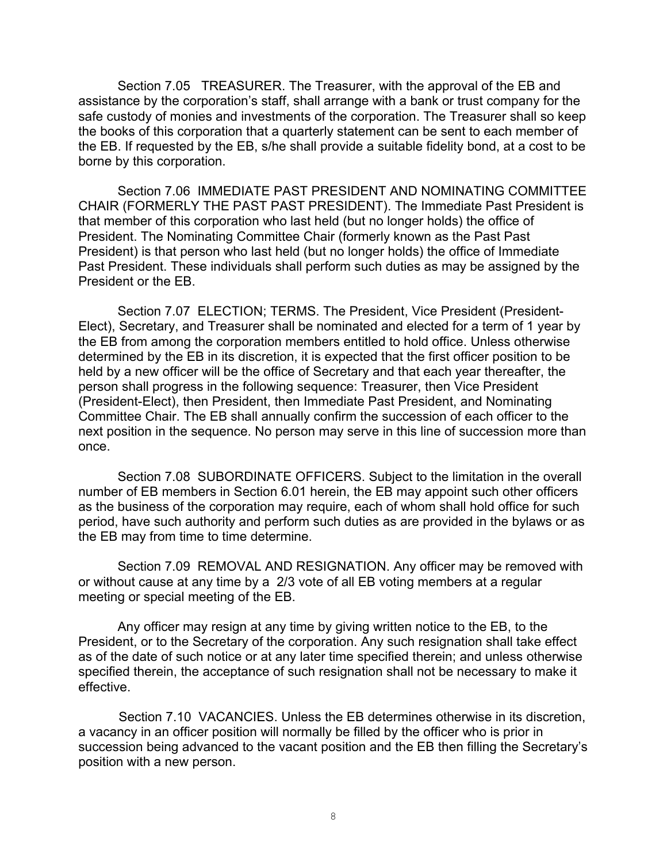Section 7.05 TREASURER. The Treasurer, with the approval of the EB and assistance by the corporation's staff, shall arrange with a bank or trust company for the safe custody of monies and investments of the corporation. The Treasurer shall so keep the books of this corporation that a quarterly statement can be sent to each member of the EB. If requested by the EB, s/he shall provide a suitable fidelity bond, at a cost to be borne by this corporation.

Section 7.06 IMMEDIATE PAST PRESIDENT AND NOMINATING COMMITTEE CHAIR (FORMERLY THE PAST PAST PRESIDENT). The Immediate Past President is that member of this corporation who last held (but no longer holds) the office of President. The Nominating Committee Chair (formerly known as the Past Past President) is that person who last held (but no longer holds) the office of Immediate Past President. These individuals shall perform such duties as may be assigned by the President or the EB.

Section 7.07 ELECTION; TERMS. The President, Vice President (President-Elect), Secretary, and Treasurer shall be nominated and elected for a term of 1 year by the EB from among the corporation members entitled to hold office. Unless otherwise determined by the EB in its discretion, it is expected that the first officer position to be held by a new officer will be the office of Secretary and that each year thereafter, the person shall progress in the following sequence: Treasurer, then Vice President (President-Elect), then President, then Immediate Past President, and Nominating Committee Chair. The EB shall annually confirm the succession of each officer to the next position in the sequence. No person may serve in this line of succession more than once.

Section 7.08 SUBORDINATE OFFICERS. Subject to the limitation in the overall number of EB members in Section 6.01 herein, the EB may appoint such other officers as the business of the corporation may require, each of whom shall hold office for such period, have such authority and perform such duties as are provided in the bylaws or as the EB may from time to time determine.

Section 7.09 REMOVAL AND RESIGNATION. Any officer may be removed with or without cause at any time by a 2/3 vote of all EB voting members at a regular meeting or special meeting of the EB.

Any officer may resign at any time by giving written notice to the EB, to the President, or to the Secretary of the corporation. Any such resignation shall take effect as of the date of such notice or at any later time specified therein; and unless otherwise specified therein, the acceptance of such resignation shall not be necessary to make it effective.

 Section 7.10 VACANCIES. Unless the EB determines otherwise in its discretion, a vacancy in an officer position will normally be filled by the officer who is prior in succession being advanced to the vacant position and the EB then filling the Secretary's position with a new person.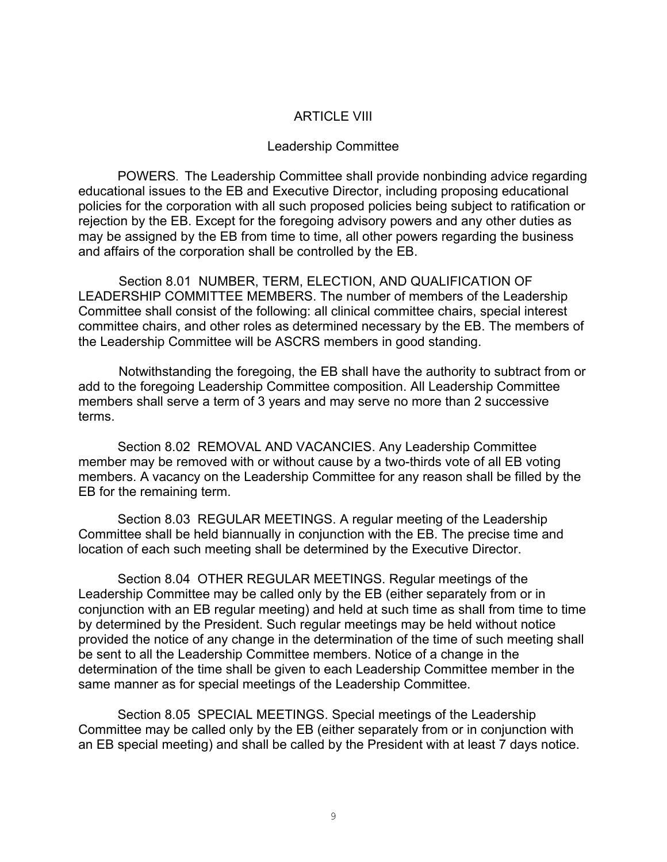## ARTICLE VIII

### Leadership Committee

POWERS. The Leadership Committee shall provide nonbinding advice regarding educational issues to the EB and Executive Director, including proposing educational policies for the corporation with all such proposed policies being subject to ratification or rejection by the EB. Except for the foregoing advisory powers and any other duties as may be assigned by the EB from time to time, all other powers regarding the business and affairs of the corporation shall be controlled by the EB.

 Section 8.01 NUMBER, TERM, ELECTION, AND QUALIFICATION OF LEADERSHIP COMMITTEE MEMBERS. The number of members of the Leadership Committee shall consist of the following: all clinical committee chairs, special interest committee chairs, and other roles as determined necessary by the EB. The members of the Leadership Committee will be ASCRS members in good standing.

 Notwithstanding the foregoing, the EB shall have the authority to subtract from or add to the foregoing Leadership Committee composition. All Leadership Committee members shall serve a term of 3 years and may serve no more than 2 successive terms.

Section 8.02 REMOVAL AND VACANCIES. Any Leadership Committee member may be removed with or without cause by a two-thirds vote of all EB voting members. A vacancy on the Leadership Committee for any reason shall be filled by the EB for the remaining term.

Section 8.03 REGULAR MEETINGS. A regular meeting of the Leadership Committee shall be held biannually in conjunction with the EB. The precise time and location of each such meeting shall be determined by the Executive Director.

Section 8.04 OTHER REGULAR MEETINGS. Regular meetings of the Leadership Committee may be called only by the EB (either separately from or in conjunction with an EB regular meeting) and held at such time as shall from time to time by determined by the President. Such regular meetings may be held without notice provided the notice of any change in the determination of the time of such meeting shall be sent to all the Leadership Committee members. Notice of a change in the determination of the time shall be given to each Leadership Committee member in the same manner as for special meetings of the Leadership Committee.

Section 8.05 SPECIAL MEETINGS. Special meetings of the Leadership Committee may be called only by the EB (either separately from or in conjunction with an EB special meeting) and shall be called by the President with at least 7 days notice.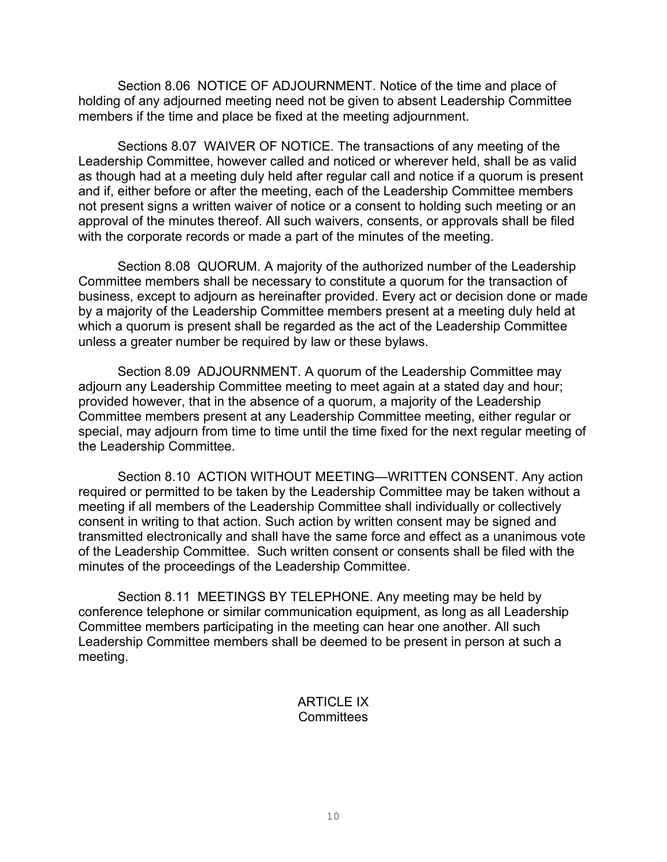Section 8.06 NOTICE OF ADJOURNMENT. Notice of the time and place of holding of any adjourned meeting need not be given to absent Leadership Committee members if the time and place be fixed at the meeting adjournment.

Sections 8.07 WAIVER OF NOTICE. The transactions of any meeting of the Leadership Committee, however called and noticed or wherever held, shall be as valid as though had at a meeting duly held after regular call and notice if a quorum is present and if, either before or after the meeting, each of the Leadership Committee members not present signs a written waiver of notice or a consent to holding such meeting or an approval of the minutes thereof. All such waivers, consents, or approvals shall be filed with the corporate records or made a part of the minutes of the meeting.

Section 8.08 QUORUM. A majority of the authorized number of the Leadership Committee members shall be necessary to constitute a quorum for the transaction of business, except to adjourn as hereinafter provided. Every act or decision done or made by a majority of the Leadership Committee members present at a meeting duly held at which a quorum is present shall be regarded as the act of the Leadership Committee unless a greater number be required by law or these bylaws.

Section 8.09 ADJOURNMENT. A quorum of the Leadership Committee may adjourn any Leadership Committee meeting to meet again at a stated day and hour; provided however, that in the absence of a quorum, a majority of the Leadership Committee members present at any Leadership Committee meeting, either regular or special, may adjourn from time to time until the time fixed for the next regular meeting of the Leadership Committee.

Section 8.10 ACTION WITHOUT MEETING—WRITTEN CONSENT. Any action required or permitted to be taken by the Leadership Committee may be taken without a meeting if all members of the Leadership Committee shall individually or collectively consent in writing to that action. Such action by written consent may be signed and transmitted electronically and shall have the same force and effect as a unanimous vote of the Leadership Committee. Such written consent or consents shall be filed with the minutes of the proceedings of the Leadership Committee.

Section 8.11 MEETINGS BY TELEPHONE. Any meeting may be held by conference telephone or similar communication equipment, as long as all Leadership Committee members participating in the meeting can hear one another. All such Leadership Committee members shall be deemed to be present in person at such a meeting.

## **ARTICLE IX Committees**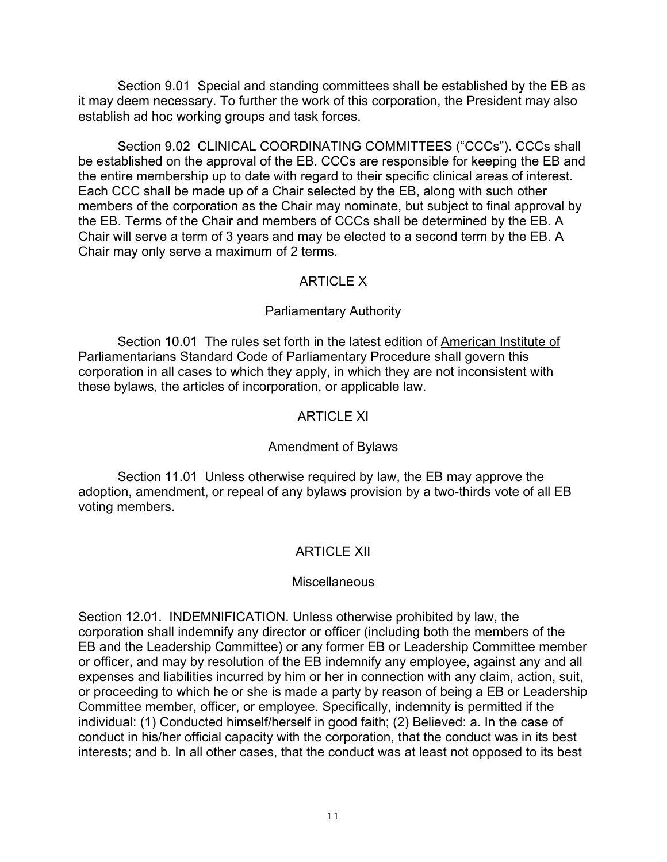Section 9.01 Special and standing committees shall be established by the EB as it may deem necessary. To further the work of this corporation, the President may also establish ad hoc working groups and task forces.

Section 9.02 CLINICAL COORDINATING COMMITTEES ("CCCs"). CCCs shall be established on the approval of the EB. CCCs are responsible for keeping the EB and the entire membership up to date with regard to their specific clinical areas of interest. Each CCC shall be made up of a Chair selected by the EB, along with such other members of the corporation as the Chair may nominate, but subject to final approval by the EB. Terms of the Chair and members of CCCs shall be determined by the EB. A Chair will serve a term of 3 years and may be elected to a second term by the EB. A Chair may only serve a maximum of 2 terms.

# ARTICLE X

# Parliamentary Authority

Section 10.01 The rules set forth in the latest edition of American Institute of Parliamentarians Standard Code of Parliamentary Procedure shall govern this corporation in all cases to which they apply, in which they are not inconsistent with these bylaws, the articles of incorporation, or applicable law.

# ARTICLE XI

## Amendment of Bylaws

Section 11.01 Unless otherwise required by law, the EB may approve the adoption, amendment, or repeal of any bylaws provision by a two-thirds vote of all EB voting members.

# ARTICLE XII

## **Miscellaneous**

Section 12.01. INDEMNIFICATION. Unless otherwise prohibited by law, the corporation shall indemnify any director or officer (including both the members of the EB and the Leadership Committee) or any former EB or Leadership Committee member or officer, and may by resolution of the EB indemnify any employee, against any and all expenses and liabilities incurred by him or her in connection with any claim, action, suit, or proceeding to which he or she is made a party by reason of being a EB or Leadership Committee member, officer, or employee. Specifically, indemnity is permitted if the individual: (1) Conducted himself/herself in good faith; (2) Believed: a. In the case of conduct in his/her official capacity with the corporation, that the conduct was in its best interests; and b. In all other cases, that the conduct was at least not opposed to its best